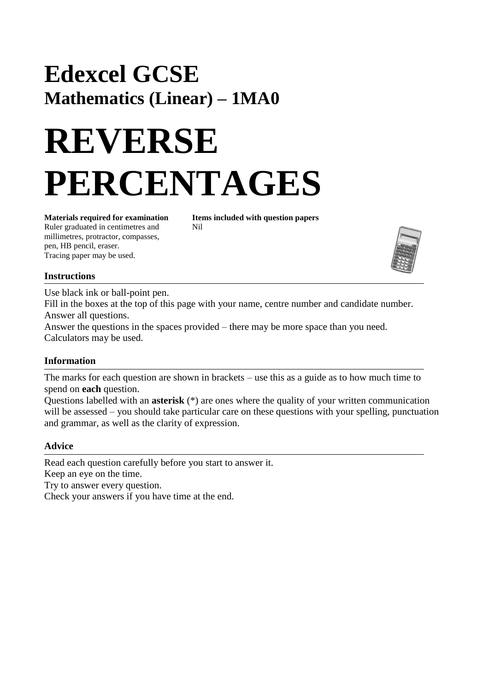## **Edexcel GCSE Mathematics (Linear) – 1MA0**

# **REVERSE PERCENTAGES**

Ruler graduated in centimetres and Nil millimetres, protractor, compasses, pen, HB pencil, eraser. Tracing paper may be used.

**Materials required for examination Items included with question papers**



### **Instructions**

Use black ink or ball-point pen.

Fill in the boxes at the top of this page with your name, centre number and candidate number. Answer all questions.

Answer the questions in the spaces provided – there may be more space than you need. Calculators may be used.

### **Information**

The marks for each question are shown in brackets – use this as a guide as to how much time to spend on **each** question.

Questions labelled with an **asterisk** (\*) are ones where the quality of your written communication will be assessed – you should take particular care on these questions with your spelling, punctuation and grammar, as well as the clarity of expression.

### **Advice**

Read each question carefully before you start to answer it. Keep an eye on the time. Try to answer every question. Check your answers if you have time at the end.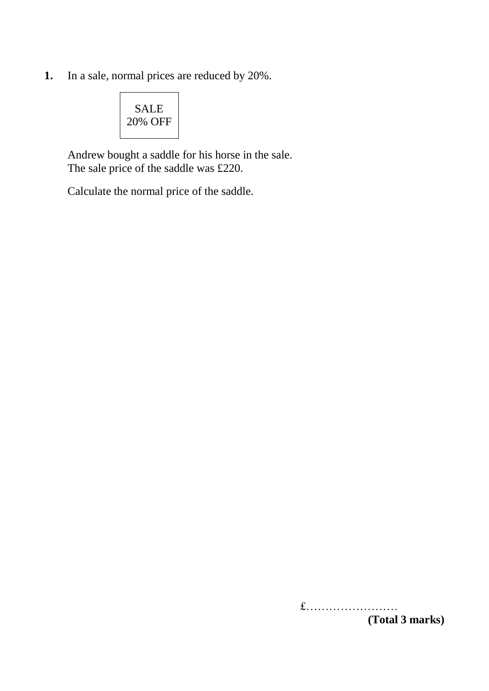**1.** In a sale, normal prices are reduced by 20%.

| SALE    |
|---------|
| 20% OFF |
|         |

Andrew bought a saddle for his horse in the sale. The sale price of the saddle was £220.

Calculate the normal price of the saddle.

£…………………… **(Total 3 marks)**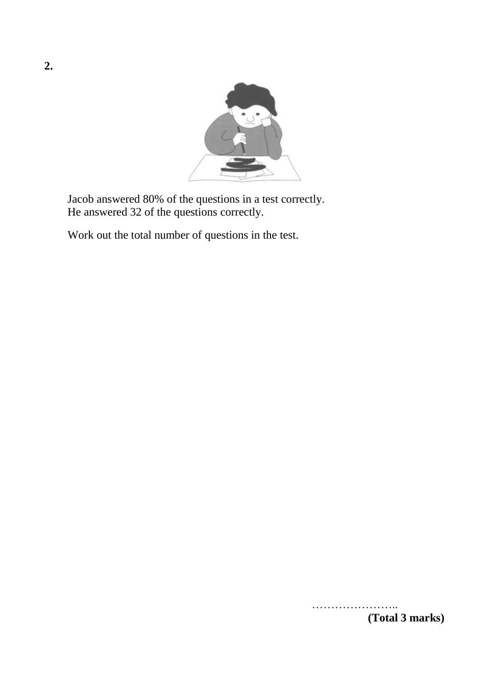

Jacob answered 80% of the questions in a test correctly. He answered 32 of the questions correctly.

Work out the total number of questions in the test.

……………………… **(Total 3 marks)**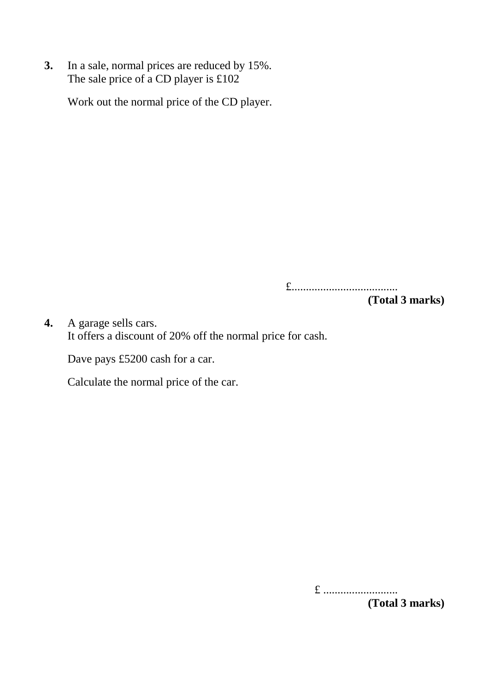**3.** In a sale, normal prices are reduced by 15%. The sale price of a CD player is  $£102$ 

Work out the normal price of the CD player.

£.....................................

**(Total 3 marks)**

**4.** A garage sells cars. It offers a discount of 20% off the normal price for cash.

Dave pays £5200 cash for a car.

Calculate the normal price of the car.

£ .......................... **(Total 3 marks)**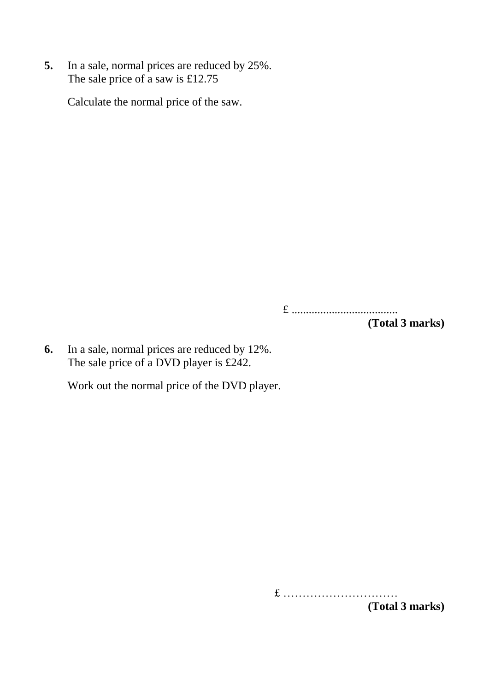**5.** In a sale, normal prices are reduced by 25%. The sale price of a saw is £12.75

Calculate the normal price of the saw.

£ .....................................

**(Total 3 marks)**

**6.** In a sale, normal prices are reduced by 12%. The sale price of a DVD player is £242.

Work out the normal price of the DVD player.

£ …………………………

**(Total 3 marks)**